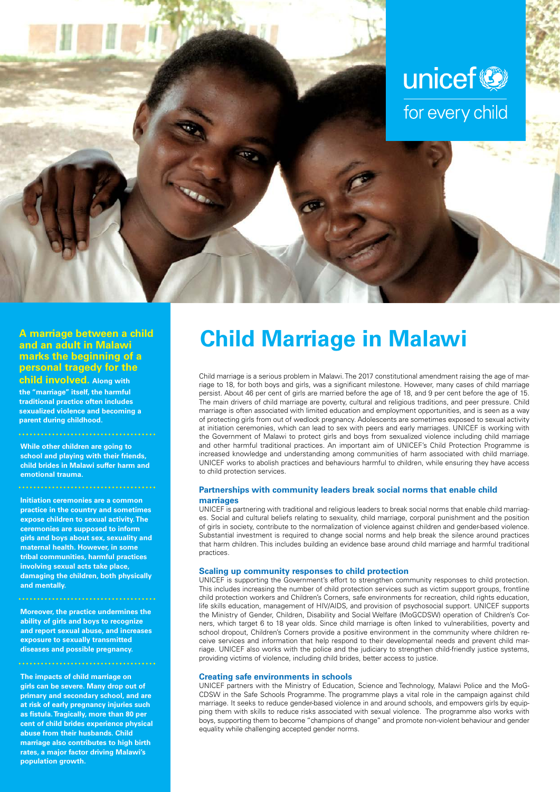

## **and an adult in Malawi marks the beginning of a personal tragedy for the**

**child involved. Along with the "marriage" itself, the harmful traditional practice often includes sexualized violence and becoming a parent during childhood.**

**While other children are going to** 

**school and playing with their friends, child brides in Malawi suffer harm and emotional trauma.**

**Initiation ceremonies are a common practice in the country and sometimes expose children to sexual activity. The ceremonies are supposed to inform girls and boys about sex, sexuality and maternal health. However, in some tribal communities, harmful practices involving sexual acts take place, damaging the children, both physically and mentally.**

**Moreover, the practice undermines the ability of girls and boys to recognize and report sexual abuse, and increases exposure to sexually transmitted diseases and possible pregnancy.**

**The impacts of child marriage on girls can be severe. Many drop out of primary and secondary school, and are at risk of early pregnancy injuries such as fistula. Tragically, more than 80 per cent of child brides experience physical abuse from their husbands. Child marriage also contributes to high birth rates, a major factor driving Malawi's population growth.**

# A marriage between a child **Child Marriage in Malawi** and an adult in Malawi

Child marriage is a serious problem in Malawi. The 2017 constitutional amendment raising the age of marriage to 18, for both boys and girls, was a significant milestone. However, many cases of child marriage persist. About 46 per cent of girls are married before the age of 18, and 9 per cent before the age of 15. The main drivers of child marriage are poverty, cultural and religious traditions, and peer pressure. Child marriage is often associated with limited education and employment opportunities, and is seen as a way of protecting girls from out of wedlock pregnancy. Adolescents are sometimes exposed to sexual activity at initiation ceremonies, which can lead to sex with peers and early marriages. UNICEF is working with the Government of Malawi to protect girls and boys from sexualized violence including child marriage and other harmful traditional practices. An important aim of UNICEF's Child Protection Programme is increased knowledge and understanding among communities of harm associated with child marriage. UNICEF works to abolish practices and behaviours harmful to children, while ensuring they have access to child protection services.

### **Partnerships with community leaders break social norms that enable child marriages**

UNICEF is partnering with traditional and religious leaders to break social norms that enable child marriages. Social and cultural beliefs relating to sexuality, child marriage, corporal punishment and the position of girls in society, contribute to the normalization of violence against children and gender-based violence. Substantial investment is required to change social norms and help break the silence around practices that harm children. This includes building an evidence base around child marriage and harmful traditional practices.

### **Scaling up community responses to child protection**

UNICEF is supporting the Government's effort to strengthen community responses to child protection. This includes increasing the number of child protection services such as victim support groups, frontline child protection workers and Children's Corners, safe environments for recreation, child rights education, life skills education, management of HIV/AIDS, and provision of psychosocial support. UNICEF supports the Ministry of Gender, Children, Disability and Social Welfare (MoGCDSW) operation of Children's Corners, which target 6 to 18 year olds. Since child marriage is often linked to vulnerabilities, poverty and school dropout, Children's Corners provide a positive environment in the community where children receive services and information that help respond to their developmental needs and prevent child marriage. UNICEF also works with the police and the judiciary to strengthen child-friendly justice systems, providing victims of violence, including child brides, better access to justice.

#### **Creating safe environments in schools**

UNICEF partners with the Ministry of Education, Science and Technology, Malawi Police and the MoG-CDSW in the Safe Schools Programme. The programme plays a vital role in the campaign against child marriage. It seeks to reduce gender-based violence in and around schools, and empowers girls by equipping them with skills to reduce risks associated with sexual violence. The programme also works with boys, supporting them to become "champions of change" and promote non-violent behaviour and gender equality while challenging accepted gender norms.